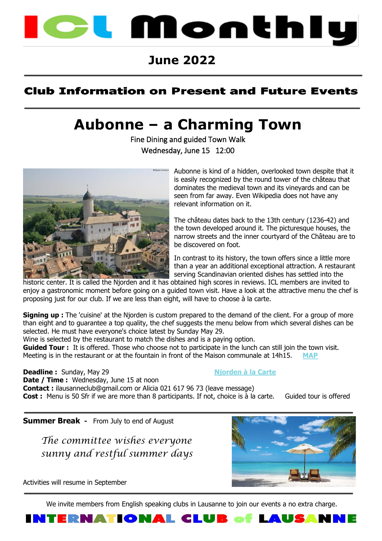

## **June 2022**

### **Club Information on Present and Future Events**

# **Aubonne – a Charming Town**

Fine Dining and guided Town Walk Wednesday, June 15 12:00



Aubonne is kind of a hidden, overlooked town despite that it is easily recognized by the round tower of the château that dominates the medieval town and its vineyards and can be seen from far away. Even Wikipedia does not have any relevant information on it.

The château dates back to the 13th century (1236-42) and the town developed around it. The picturesque houses, the narrow streets and the inner courtyard of the Château are to be discovered on foot.

In contrast to its history, the town offers since a little more than a year an additional exceptional attraction. A restaurant serving Scandinavian oriented dishes has settled into the

historic center. It is called the Njorden and it has obtained high scores in reviews. ICL members are invited to enjoy a gastronomic moment before going on a guided town visit. Have a look at the attractive menu the chef is proposing just for our club. If we are less than eight, will have to choose à la carte.

**Signing up :** The 'cuisine' at the Njorden is custom prepared to the demand of the client. For a group of more than eight and to guarantee a top quality, the chef suggests the menu below from which several dishes can be selected. He must have everyone's choice latest by Sunday May 29.

Wine is selected by the restaurant to match the dishes and is a paying option.

**Guided Tour :** It is offered. Those who choose not to participate in the lunch can still join the town visit. Meeting is in the restaurant or at the fountain in front of the Maison communale at 14h15.

**Deadline :** Sunday, May 29 **Night Nightan Nightan A Nightan à** la Carte **Date / Time :** Wednesday, June 15 at noon **Contact :** ilausanneclub@gmail.com or Alicia 021 617 96 73 (leave message) **Cost :** Menu is 50 Sfr if we are more than 8 participants. If not, choice is à la carte. Guided tour is offered

**Summer Break -** From July to end of August

 *The committee wishes everyone sunny and restful summer days*



Activities will resume in September

We invite members from English speaking clubs in Lausanne to join our events a no extra charge.